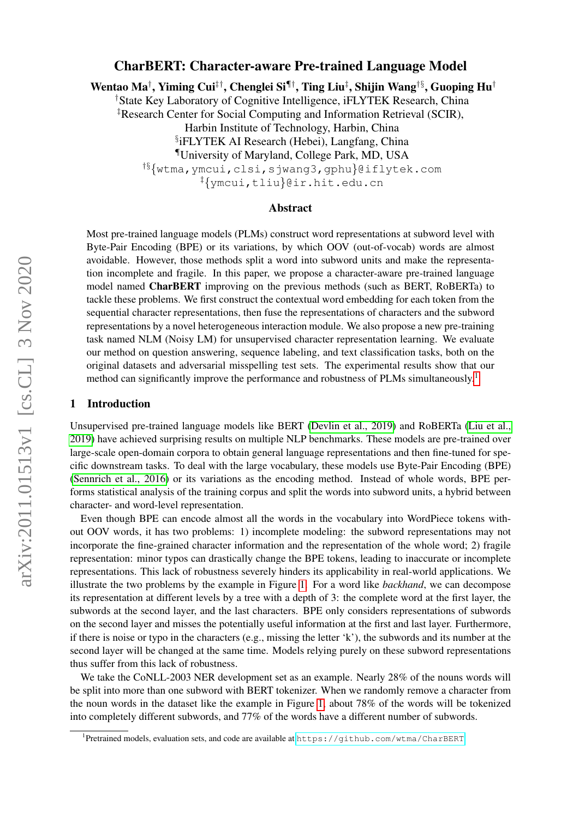# CharBERT: Character-aware Pre-trained Language Model

Wentao Ma† , Yiming Cui‡†, Chenglei Si¶†, Ting Liu‡ , Shijin Wang†§, Guoping Hu†

†State Key Laboratory of Cognitive Intelligence, iFLYTEK Research, China

‡Research Center for Social Computing and Information Retrieval (SCIR),

Harbin Institute of Technology, Harbin, China

§ iFLYTEK AI Research (Hebei), Langfang, China

¶University of Maryland, College Park, MD, USA

†§{wtma,ymcui,clsi,sjwang3,gphu}@iflytek.com

‡{ymcui,tliu}@ir.hit.edu.cn

## Abstract

Most pre-trained language models (PLMs) construct word representations at subword level with Byte-Pair Encoding (BPE) or its variations, by which OOV (out-of-vocab) words are almost avoidable. However, those methods split a word into subword units and make the representation incomplete and fragile. In this paper, we propose a character-aware pre-trained language model named **CharBERT** improving on the previous methods (such as BERT, RoBERTa) to tackle these problems. We first construct the contextual word embedding for each token from the sequential character representations, then fuse the representations of characters and the subword representations by a novel heterogeneous interaction module. We also propose a new pre-training task named NLM (Noisy LM) for unsupervised character representation learning. We evaluate our method on question answering, sequence labeling, and text classification tasks, both on the original datasets and adversarial misspelling test sets. The experimental results show that our method can significantly improve the performance and robustness of PLMs simultaneously.<sup>[1](#page-0-0)</sup>

### 1 Introduction

Unsupervised pre-trained language models like BERT [\(Devlin et al., 2019\)](#page-10-0) and RoBERTa [\(Liu et al.,](#page-10-1) [2019\)](#page-10-1) have achieved surprising results on multiple NLP benchmarks. These models are pre-trained over large-scale open-domain corpora to obtain general language representations and then fine-tuned for specific downstream tasks. To deal with the large vocabulary, these models use Byte-Pair Encoding (BPE) [\(Sennrich et al., 2016\)](#page-11-0) or its variations as the encoding method. Instead of whole words, BPE performs statistical analysis of the training corpus and split the words into subword units, a hybrid between character- and word-level representation.

Even though BPE can encode almost all the words in the vocabulary into WordPiece tokens without OOV words, it has two problems: 1) incomplete modeling: the subword representations may not incorporate the fine-grained character information and the representation of the whole word; 2) fragile representation: minor typos can drastically change the BPE tokens, leading to inaccurate or incomplete representations. This lack of robustness severely hinders its applicability in real-world applications. We illustrate the two problems by the example in Figure [1.](#page-1-0) For a word like *backhand*, we can decompose its representation at different levels by a tree with a depth of 3: the complete word at the first layer, the subwords at the second layer, and the last characters. BPE only considers representations of subwords on the second layer and misses the potentially useful information at the first and last layer. Furthermore, if there is noise or typo in the characters (e.g., missing the letter 'k'), the subwords and its number at the second layer will be changed at the same time. Models relying purely on these subword representations thus suffer from this lack of robustness.

We take the CoNLL-2003 NER development set as an example. Nearly 28% of the nouns words will be split into more than one subword with BERT tokenizer. When we randomly remove a character from the noun words in the dataset like the example in Figure [1,](#page-1-0) about 78% of the words will be tokenized into completely different subwords, and 77% of the words have a different number of subwords.

<span id="page-0-0"></span><sup>1</sup> Pretrained models, evaluation sets, and code are available at <https://github.com/wtma/CharBERT>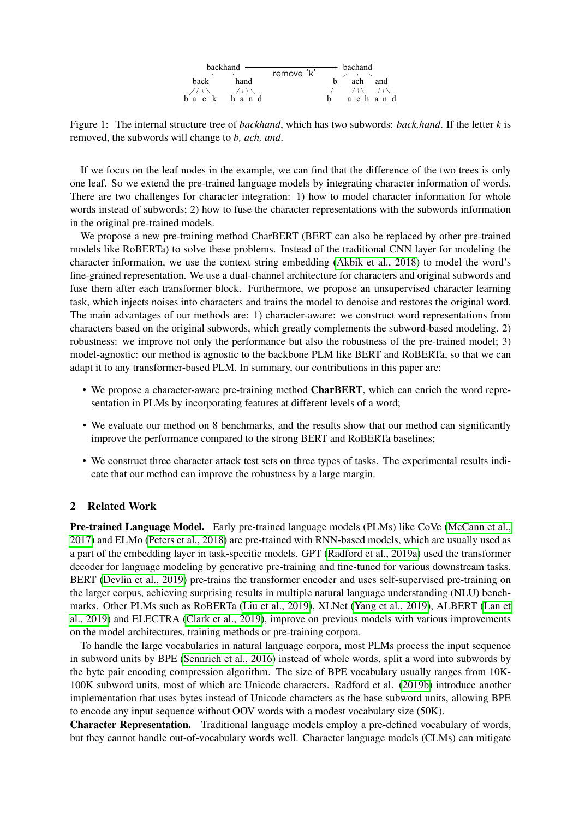| backhand                                         |              | remove 'k' | → bachand |        |     |  |
|--------------------------------------------------|--------------|------------|-----------|--------|-----|--|
|                                                  |              |            |           |        |     |  |
| back                                             | hand         |            | h.        | ach    | and |  |
|                                                  | <b>71 \\</b> |            |           | 7. IX  |     |  |
| $b \n\begin{matrix} a & c \\ c & k \end{matrix}$ | hand         |            |           | achand |     |  |

<span id="page-1-0"></span>Figure 1: The internal structure tree of *backhand*, which has two subwords: *back,hand*. If the letter *k* is removed, the subwords will change to *b, ach, and*.

If we focus on the leaf nodes in the example, we can find that the difference of the two trees is only one leaf. So we extend the pre-trained language models by integrating character information of words. There are two challenges for character integration: 1) how to model character information for whole words instead of subwords; 2) how to fuse the character representations with the subwords information in the original pre-trained models.

We propose a new pre-training method CharBERT (BERT can also be replaced by other pre-trained models like RoBERTa) to solve these problems. Instead of the traditional CNN layer for modeling the character information, we use the context string embedding [\(Akbik et al., 2018\)](#page-10-2) to model the word's fine-grained representation. We use a dual-channel architecture for characters and original subwords and fuse them after each transformer block. Furthermore, we propose an unsupervised character learning task, which injects noises into characters and trains the model to denoise and restores the original word. The main advantages of our methods are: 1) character-aware: we construct word representations from characters based on the original subwords, which greatly complements the subword-based modeling. 2) robustness: we improve not only the performance but also the robustness of the pre-trained model; 3) model-agnostic: our method is agnostic to the backbone PLM like BERT and RoBERTa, so that we can adapt it to any transformer-based PLM. In summary, our contributions in this paper are:

- We propose a character-aware pre-training method **CharBERT**, which can enrich the word representation in PLMs by incorporating features at different levels of a word;
- We evaluate our method on 8 benchmarks, and the results show that our method can significantly improve the performance compared to the strong BERT and RoBERTa baselines;
- We construct three character attack test sets on three types of tasks. The experimental results indicate that our method can improve the robustness by a large margin.

## 2 Related Work

Pre-trained Language Model. Early pre-trained language models (PLMs) like CoVe [\(McCann et al.,](#page-10-3) [2017\)](#page-10-3) and ELMo [\(Peters et al., 2018\)](#page-10-4) are pre-trained with RNN-based models, which are usually used as a part of the embedding layer in task-specific models. GPT [\(Radford et al., 2019a\)](#page-11-1) used the transformer decoder for language modeling by generative pre-training and fine-tuned for various downstream tasks. BERT [\(Devlin et al., 2019\)](#page-10-0) pre-trains the transformer encoder and uses self-supervised pre-training on the larger corpus, achieving surprising results in multiple natural language understanding (NLU) benchmarks. Other PLMs such as RoBERTa [\(Liu et al., 2019\)](#page-10-1), XLNet [\(Yang et al., 2019\)](#page-11-2), ALBERT [\(Lan et](#page-10-5) [al., 2019\)](#page-10-5) and ELECTRA [\(Clark et al., 2019\)](#page-10-6), improve on previous models with various improvements on the model architectures, training methods or pre-training corpora.

To handle the large vocabularies in natural language corpora, most PLMs process the input sequence in subword units by BPE [\(Sennrich et al., 2016\)](#page-11-0) instead of whole words, split a word into subwords by the byte pair encoding compression algorithm. The size of BPE vocabulary usually ranges from 10K-100K subword units, most of which are Unicode characters. Radford et al. [\(2019b\)](#page-11-3) introduce another implementation that uses bytes instead of Unicode characters as the base subword units, allowing BPE to encode any input sequence without OOV words with a modest vocabulary size (50K).

Character Representation. Traditional language models employ a pre-defined vocabulary of words, but they cannot handle out-of-vocabulary words well. Character language models (CLMs) can mitigate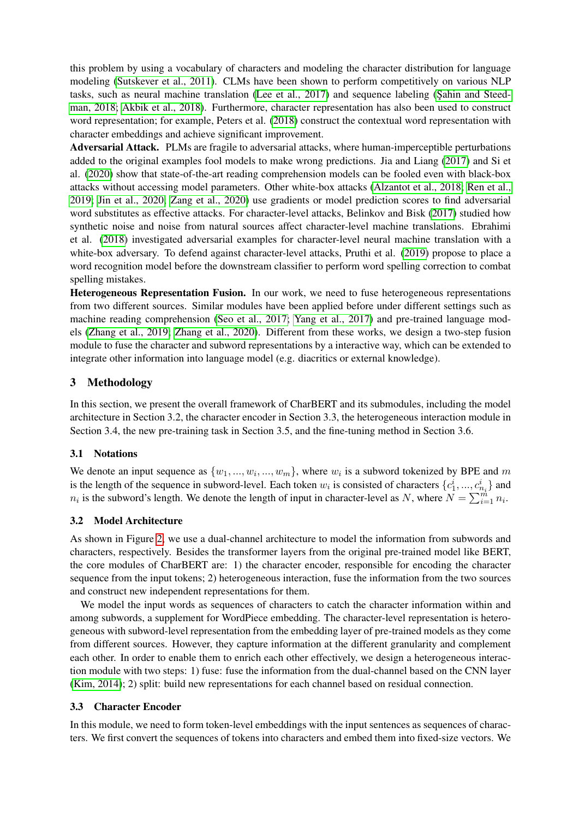this problem by using a vocabulary of characters and modeling the character distribution for language modeling [\(Sutskever et al., 2011\)](#page-11-4). CLMs have been shown to perform competitively on various NLP tasks, such as neural machine translation [\(Lee et al., 2017\)](#page-10-7) and sequence labeling (Sahin and Steed[man, 2018;](#page-11-5) [Akbik et al., 2018\)](#page-10-2). Furthermore, character representation has also been used to construct word representation; for example, Peters et al. [\(2018\)](#page-10-4) construct the contextual word representation with character embeddings and achieve significant improvement.

Adversarial Attack. PLMs are fragile to adversarial attacks, where human-imperceptible perturbations added to the original examples fool models to make wrong predictions. Jia and Liang [\(2017\)](#page-10-8) and Si et al. [\(2020\)](#page-11-6) show that state-of-the-art reading comprehension models can be fooled even with black-box attacks without accessing model parameters. Other white-box attacks [\(Alzantot et al., 2018;](#page-10-9) [Ren et al.,](#page-11-7) [2019;](#page-11-7) [Jin et al., 2020;](#page-10-10) [Zang et al., 2020\)](#page-11-8) use gradients or model prediction scores to find adversarial word substitutes as effective attacks. For character-level attacks, Belinkov and Bisk [\(2017\)](#page-10-11) studied how synthetic noise and noise from natural sources affect character-level machine translations. Ebrahimi et al. [\(2018\)](#page-10-12) investigated adversarial examples for character-level neural machine translation with a white-box adversary. To defend against character-level attacks, Pruthi et al. [\(2019\)](#page-11-9) propose to place a word recognition model before the downstream classifier to perform word spelling correction to combat spelling mistakes.

Heterogeneous Representation Fusion. In our work, we need to fuse heterogeneous representations from two different sources. Similar modules have been applied before under different settings such as machine reading comprehension [\(Seo et al., 2017;](#page-11-10) [Yang et al., 2017\)](#page-11-11) and pre-trained language models [\(Zhang et al., 2019;](#page-11-12) [Zhang et al., 2020\)](#page-11-13). Different from these works, we design a two-step fusion module to fuse the character and subword representations by a interactive way, which can be extended to integrate other information into language model (e.g. diacritics or external knowledge).

# 3 Methodology

In this section, we present the overall framework of CharBERT and its submodules, including the model architecture in Section 3.2, the character encoder in Section 3.3, the heterogeneous interaction module in Section 3.4, the new pre-training task in Section 3.5, and the fine-tuning method in Section 3.6.

# 3.1 Notations

We denote an input sequence as  $\{w_1, ..., w_i, ..., w_m\}$ , where  $w_i$  is a subword tokenized by BPE and m is the length of the sequence in subword-level. Each token  $w_i$  is consisted of characters  $\{c_1^i, ..., c_{n_i}^i\}$  and  $n_i$  is the subword's length. We denote the length of input in character-level as N, where  $N = \sum_{i=1}^{m} n_i$ .

# 3.2 Model Architecture

As shown in Figure [2,](#page-3-0) we use a dual-channel architecture to model the information from subwords and characters, respectively. Besides the transformer layers from the original pre-trained model like BERT, the core modules of CharBERT are: 1) the character encoder, responsible for encoding the character sequence from the input tokens; 2) heterogeneous interaction, fuse the information from the two sources and construct new independent representations for them.

We model the input words as sequences of characters to catch the character information within and among subwords, a supplement for WordPiece embedding. The character-level representation is heterogeneous with subword-level representation from the embedding layer of pre-trained models as they come from different sources. However, they capture information at the different granularity and complement each other. In order to enable them to enrich each other effectively, we design a heterogeneous interaction module with two steps: 1) fuse: fuse the information from the dual-channel based on the CNN layer [\(Kim, 2014\)](#page-10-13); 2) split: build new representations for each channel based on residual connection.

# 3.3 Character Encoder

In this module, we need to form token-level embeddings with the input sentences as sequences of characters. We first convert the sequences of tokens into characters and embed them into fixed-size vectors. We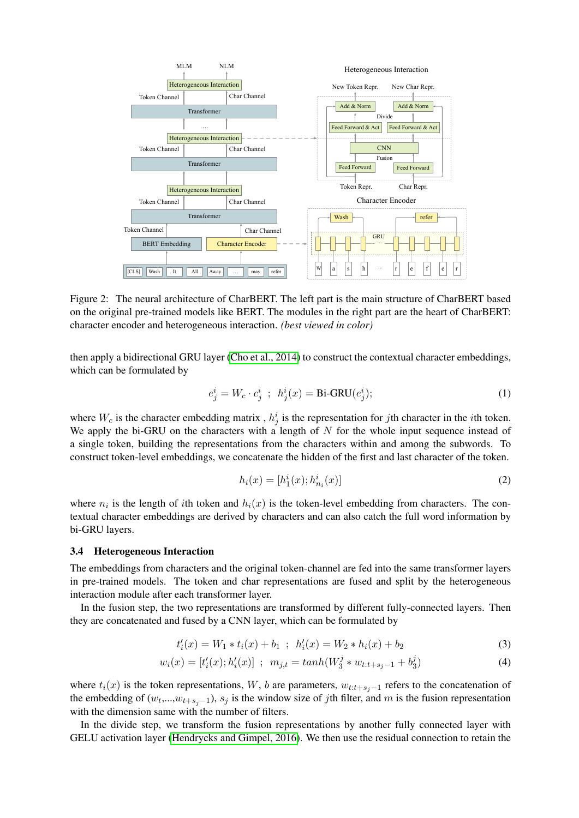

<span id="page-3-0"></span>Figure 2: The neural architecture of CharBERT. The left part is the main structure of CharBERT based on the original pre-trained models like BERT. The modules in the right part are the heart of CharBERT: character encoder and heterogeneous interaction. *(best viewed in color)*

then apply a bidirectional GRU layer [\(Cho et al., 2014\)](#page-10-14) to construct the contextual character embeddings, which can be formulated by

$$
e_j^i = W_c \cdot c_j^i \; ; \; h_j^i(x) = \text{Bi-GRU}(e_j^i); \tag{1}
$$

where  $W_c$  is the character embedding matrix,  $h_j^i$  is the representation for jth character in the *i*th token. We apply the bi-GRU on the characters with a length of  $N$  for the whole input sequence instead of a single token, building the representations from the characters within and among the subwords. To construct token-level embeddings, we concatenate the hidden of the first and last character of the token.

$$
h_i(x) = [h_1^i(x); h_{n_i}^i(x)]
$$
\n(2)

where  $n_i$  is the length of *i*th token and  $h_i(x)$  is the token-level embedding from characters. The contextual character embeddings are derived by characters and can also catch the full word information by bi-GRU layers.

#### 3.4 Heterogeneous Interaction

The embeddings from characters and the original token-channel are fed into the same transformer layers in pre-trained models. The token and char representations are fused and split by the heterogeneous interaction module after each transformer layer.

In the fusion step, the two representations are transformed by different fully-connected layers. Then they are concatenated and fused by a CNN layer, which can be formulated by

$$
t'_{i}(x) = W_{1} * t_{i}(x) + b_{1} ; h'_{i}(x) = W_{2} * h_{i}(x) + b_{2}
$$
\n(3)

$$
w_i(x) = [t'_i(x); h'_i(x)] \; ; \; m_{j,t} = \tanh(W_3^j * w_{t:t+s_j-1} + b_3^j)
$$
 (4)

where  $t_i(x)$  is the token representations, W, b are parameters,  $w_{t:t+s_j-1}$  refers to the concatenation of the embedding of  $(w_t, ..., w_{t+s_j-1}), s_j$  is the window size of jth filter, and m is the fusion representation with the dimension same with the number of filters.

In the divide step, we transform the fusion representations by another fully connected layer with GELU activation layer [\(Hendrycks and Gimpel, 2016\)](#page-10-15). We then use the residual connection to retain the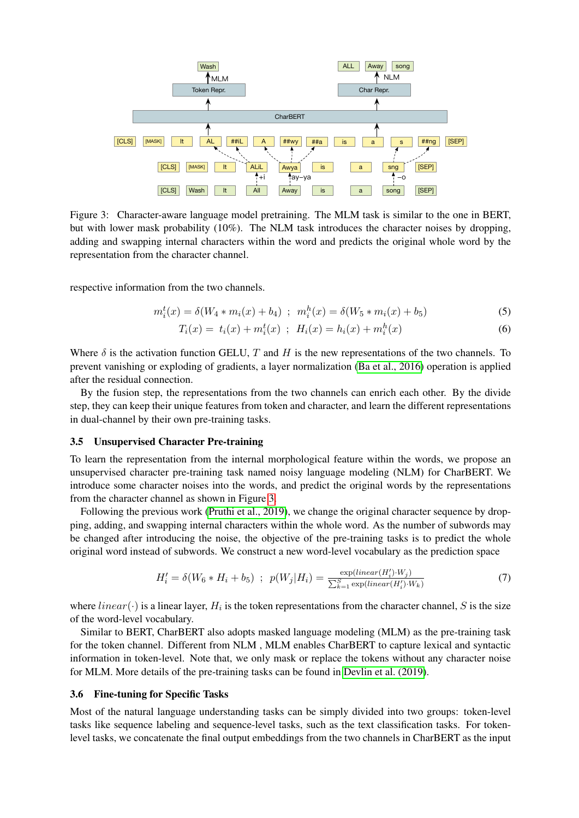

<span id="page-4-0"></span>Figure 3: Character-aware language model pretraining. The MLM task is similar to the one in BERT, but with lower mask probability (10%). The NLM task introduces the character noises by dropping, adding and swapping internal characters within the word and predicts the original whole word by the representation from the character channel.

respective information from the two channels.

$$
m_i^t(x) = \delta(W_4 * m_i(x) + b_4) \ ; \ m_i^h(x) = \delta(W_5 * m_i(x) + b_5) \tag{5}
$$

$$
T_i(x) = t_i(x) + m_i^t(x) \; ; \; H_i(x) = h_i(x) + m_i^h(x) \tag{6}
$$

Where  $\delta$  is the activation function GELU, T and H is the new representations of the two channels. To prevent vanishing or exploding of gradients, a layer normalization [\(Ba et al., 2016\)](#page-10-16) operation is applied after the residual connection.

By the fusion step, the representations from the two channels can enrich each other. By the divide step, they can keep their unique features from token and character, and learn the different representations in dual-channel by their own pre-training tasks.

### 3.5 Unsupervised Character Pre-training

To learn the representation from the internal morphological feature within the words, we propose an unsupervised character pre-training task named noisy language modeling (NLM) for CharBERT. We introduce some character noises into the words, and predict the original words by the representations from the character channel as shown in Figure [3.](#page-4-0)

Following the previous work [\(Pruthi et al., 2019\)](#page-11-9), we change the original character sequence by dropping, adding, and swapping internal characters within the whole word. As the number of subwords may be changed after introducing the noise, the objective of the pre-training tasks is to predict the whole original word instead of subwords. We construct a new word-level vocabulary as the prediction space

$$
H'_{i} = \delta(W_6 * H_i + b_5) \quad ; \quad p(W_j|H_i) = \frac{\exp(\text{linear}(H'_i) \cdot W_j)}{\sum_{k=1}^{S} \exp(\text{linear}(H'_i) \cdot W_k)} \tag{7}
$$

where  $linear(\cdot)$  is a linear layer,  $H_i$  is the token representations from the character channel, S is the size of the word-level vocabulary.

Similar to BERT, CharBERT also adopts masked language modeling (MLM) as the pre-training task for the token channel. Different from NLM , MLM enables CharBERT to capture lexical and syntactic information in token-level. Note that, we only mask or replace the tokens without any character noise for MLM. More details of the pre-training tasks can be found in [Devlin et al. \(2019\)](#page-10-0).

#### 3.6 Fine-tuning for Specific Tasks

Most of the natural language understanding tasks can be simply divided into two groups: token-level tasks like sequence labeling and sequence-level tasks, such as the text classification tasks. For tokenlevel tasks, we concatenate the final output embeddings from the two channels in CharBERT as the input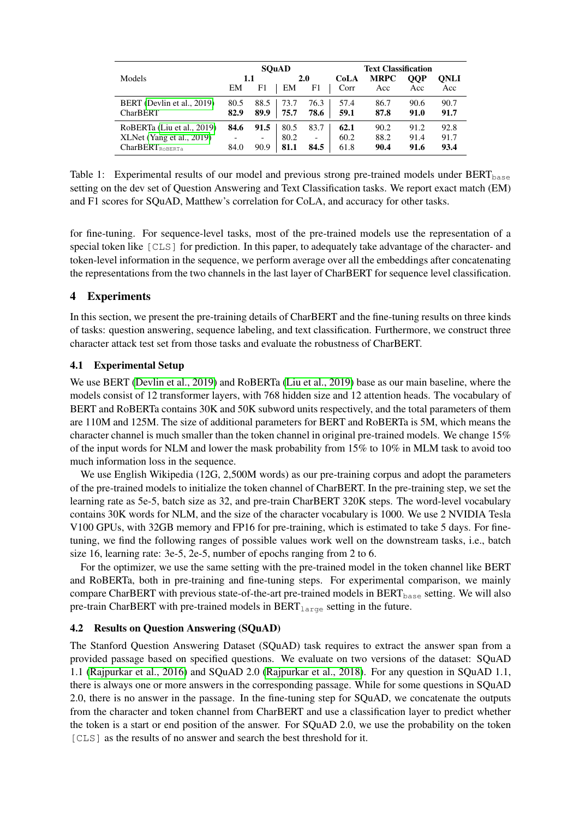|                             | <b>SOuAD</b> |                          |            |                          | <b>Text Classification</b> |                    |      |             |  |
|-----------------------------|--------------|--------------------------|------------|--------------------------|----------------------------|--------------------|------|-------------|--|
| Models                      | 1.1          |                          | <b>2.0</b> |                          | CoLA                       | <b>MRPC</b><br>OOP |      | <b>ONLI</b> |  |
|                             | EM           | F1                       | EM         | F1                       | Corr                       | Acc                | Acc  | Acc         |  |
| BERT (Devlin et al., 2019)  | 80.5         | 88.5                     | 73.7       | 76.3                     | 57.4                       | 86.7               | 90.6 | 90.7        |  |
| <b>CharBERT</b>             | 82.9         | 89.9                     | 75.7       | 78.6                     | 59.1                       | 87.8               | 91.0 | 91.7        |  |
| RoBERTa (Liu et al., 2019)  | 84.6         | 91.5                     | 80.5       | 83.7                     | 62.1                       | 90.2               | 91.2 | 92.8        |  |
| XLNet (Yang et al., 2019)   |              | $\overline{\phantom{a}}$ | 80.2       | $\overline{\phantom{0}}$ | 60.2                       | 88.2               | 91.4 | 91.7        |  |
| CharBERT <sub>ROBERTa</sub> | 84.0         | 90.9                     | 81.1       | 84.5                     | 61.8                       | 90.4               | 91.6 | 93.4        |  |

<span id="page-5-0"></span>Table 1: Experimental results of our model and previous strong pre-trained models under  $BERT_{base}$ setting on the dev set of Question Answering and Text Classification tasks. We report exact match (EM) and F1 scores for SQuAD, Matthew's correlation for CoLA, and accuracy for other tasks.

for fine-tuning. For sequence-level tasks, most of the pre-trained models use the representation of a special token like [CLS] for prediction. In this paper, to adequately take advantage of the character- and token-level information in the sequence, we perform average over all the embeddings after concatenating the representations from the two channels in the last layer of CharBERT for sequence level classification.

# 4 Experiments

In this section, we present the pre-training details of CharBERT and the fine-tuning results on three kinds of tasks: question answering, sequence labeling, and text classification. Furthermore, we construct three character attack test set from those tasks and evaluate the robustness of CharBERT.

# 4.1 Experimental Setup

We use BERT [\(Devlin et al., 2019\)](#page-10-0) and RoBERTa [\(Liu et al., 2019\)](#page-10-1) base as our main baseline, where the models consist of 12 transformer layers, with 768 hidden size and 12 attention heads. The vocabulary of BERT and RoBERTa contains 30K and 50K subword units respectively, and the total parameters of them are 110M and 125M. The size of additional parameters for BERT and RoBERTa is 5M, which means the character channel is much smaller than the token channel in original pre-trained models. We change 15% of the input words for NLM and lower the mask probability from 15% to 10% in MLM task to avoid too much information loss in the sequence.

We use English Wikipedia (12G, 2,500M words) as our pre-training corpus and adopt the parameters of the pre-trained models to initialize the token channel of CharBERT. In the pre-training step, we set the learning rate as 5e-5, batch size as 32, and pre-train CharBERT 320K steps. The word-level vocabulary contains 30K words for NLM, and the size of the character vocabulary is 1000. We use 2 NVIDIA Tesla V100 GPUs, with 32GB memory and FP16 for pre-training, which is estimated to take 5 days. For finetuning, we find the following ranges of possible values work well on the downstream tasks, i.e., batch size 16, learning rate: 3e-5, 2e-5, number of epochs ranging from 2 to 6.

For the optimizer, we use the same setting with the pre-trained model in the token channel like BERT and RoBERTa, both in pre-training and fine-tuning steps. For experimental comparison, we mainly compare CharBERT with previous state-of-the-art pre-trained models in BERT<sub>base</sub> setting. We will also pre-train CharBERT with pre-trained models in  $BERT_{large}$  setting in the future.

## 4.2 Results on Question Answering (SQuAD)

The Stanford Question Answering Dataset (SQuAD) task requires to extract the answer span from a provided passage based on specified questions. We evaluate on two versions of the dataset: SQuAD 1.1 [\(Rajpurkar et al., 2016\)](#page-11-14) and SQuAD 2.0 [\(Rajpurkar et al., 2018\)](#page-11-15). For any question in SQuAD 1.1, there is always one or more answers in the corresponding passage. While for some questions in SQuAD 2.0, there is no answer in the passage. In the fine-tuning step for SQuAD, we concatenate the outputs from the character and token channel from CharBERT and use a classification layer to predict whether the token is a start or end position of the answer. For SQuAD 2.0, we use the probability on the token [CLS] as the results of no answer and search the best threshold for it.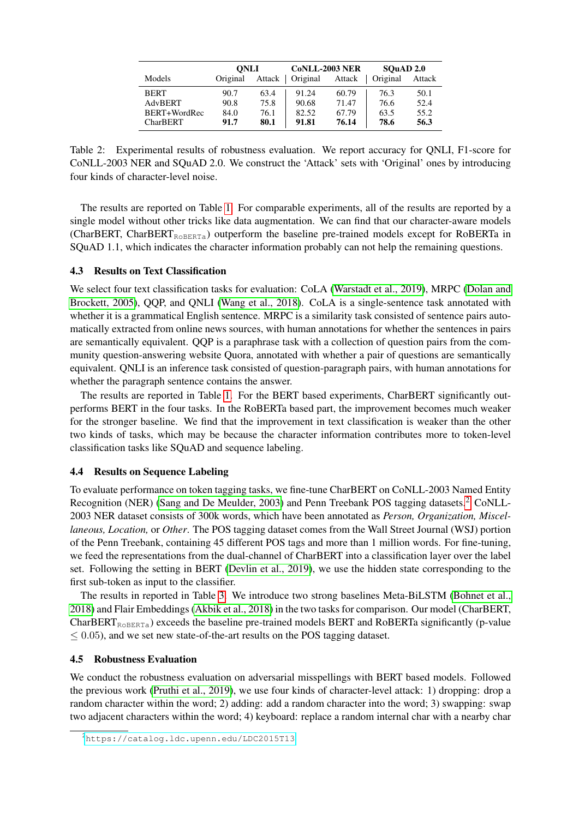|                 | <b>ONLI</b> |        | <b>CoNLL-2003 NER</b> |        | SOuAD 2.0 |        |
|-----------------|-------------|--------|-----------------------|--------|-----------|--------|
| Models          | Original    | Attack | Original              | Attack | Original  | Attack |
| <b>BERT</b>     | 90.7        | 63.4   | 91.24                 | 60.79  | 76.3      | 50.1   |
| AdvBERT         | 90.8        | 75.8   | 90.68                 | 71.47  | 76.6      | 52.4   |
| BERT+WordRec    | 84.0        | 76.1   | 82.52                 | 67.79  | 63.5      | 55.2   |
| <b>CharBERT</b> | 91.7        | 80.1   | 91.81                 | 76.14  | 78.6      | 56.3   |

<span id="page-6-1"></span>Table 2: Experimental results of robustness evaluation. We report accuracy for QNLI, F1-score for CoNLL-2003 NER and SQuAD 2.0. We construct the 'Attack' sets with 'Original' ones by introducing four kinds of character-level noise.

The results are reported on Table [1.](#page-5-0) For comparable experiments, all of the results are reported by a single model without other tricks like data augmentation. We can find that our character-aware models (CharBERT, CharBERT<sub>ROBERTa</sub>) outperform the baseline pre-trained models except for RoBERTa in SQuAD 1.1, which indicates the character information probably can not help the remaining questions.

## 4.3 Results on Text Classification

We select four text classification tasks for evaluation: CoLA [\(Warstadt et al., 2019\)](#page-11-16), MRPC [\(Dolan and](#page-10-17) [Brockett, 2005\)](#page-10-17), QQP, and QNLI [\(Wang et al., 2018\)](#page-11-17). CoLA is a single-sentence task annotated with whether it is a grammatical English sentence. MRPC is a similarity task consisted of sentence pairs automatically extracted from online news sources, with human annotations for whether the sentences in pairs are semantically equivalent. QQP is a paraphrase task with a collection of question pairs from the community question-answering website Quora, annotated with whether a pair of questions are semantically equivalent. QNLI is an inference task consisted of question-paragraph pairs, with human annotations for whether the paragraph sentence contains the answer.

The results are reported in Table [1.](#page-5-0) For the BERT based experiments, CharBERT significantly outperforms BERT in the four tasks. In the RoBERTa based part, the improvement becomes much weaker for the stronger baseline. We find that the improvement in text classification is weaker than the other two kinds of tasks, which may be because the character information contributes more to token-level classification tasks like SQuAD and sequence labeling.

## <span id="page-6-3"></span>4.4 Results on Sequence Labeling

To evaluate performance on token tagging tasks, we fine-tune CharBERT on CoNLL-2003 Named Entity Recognition (NER) [\(Sang and De Meulder, 2003\)](#page-11-18) and Penn Treebank POS tagging datasets.<sup>[2](#page-6-0)</sup> CoNLL-2003 NER dataset consists of 300k words, which have been annotated as *Person, Organization, Miscellaneous, Location,* or *Other*. The POS tagging dataset comes from the Wall Street Journal (WSJ) portion of the Penn Treebank, containing 45 different POS tags and more than 1 million words. For fine-tuning, we feed the representations from the dual-channel of CharBERT into a classification layer over the label set. Following the setting in BERT [\(Devlin et al., 2019\)](#page-10-0), we use the hidden state corresponding to the first sub-token as input to the classifier.

The results in reported in Table [3.](#page-7-0) We introduce two strong baselines Meta-BiLSTM [\(Bohnet et al.,](#page-10-18) [2018\)](#page-10-18) and Flair Embeddings [\(Akbik et al., 2018\)](#page-10-2) in the two tasks for comparison. Our model (CharBERT,  $CharBERT<sub>ROBERT</sub>$ ) exceeds the baseline pre-trained models BERT and RoBERTa significantly (p-value  $\leq$  0.05), and we set new state-of-the-art results on the POS tagging dataset.

## <span id="page-6-2"></span>4.5 Robustness Evaluation

We conduct the robustness evaluation on adversarial misspellings with BERT based models. Followed the previous work [\(Pruthi et al., 2019\)](#page-11-9), we use four kinds of character-level attack: 1) dropping: drop a random character within the word; 2) adding: add a random character into the word; 3) swapping: swap two adjacent characters within the word; 4) keyboard: replace a random internal char with a nearby char

<span id="page-6-0"></span><sup>2</sup><https://catalog.ldc.upenn.edu/LDC2015T13>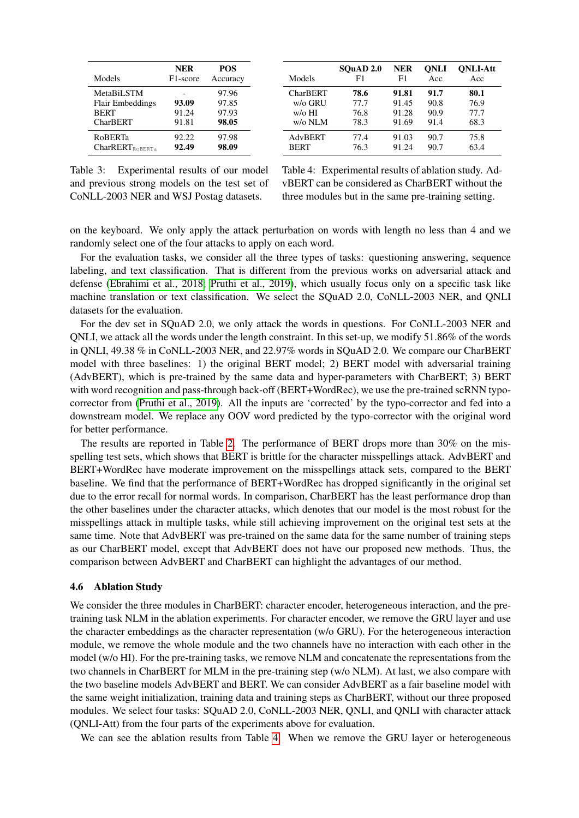| Models               | <b>NER</b><br>F <sub>1</sub> -score | <b>POS</b><br>Accuracy | Models          | SOuAD 2.0<br>F1 | <b>NER</b><br>F1 | <b>ONLI</b><br>Acc | <b>ONLI-Att</b><br>Acc |
|----------------------|-------------------------------------|------------------------|-----------------|-----------------|------------------|--------------------|------------------------|
| MetaBiLSTM           |                                     | 97.96                  | <b>CharBERT</b> | 78.6            | 91.81            | 91.7               | 80.1                   |
| Flair Embeddings     | 93.09                               | 97.85                  | w/o GRU         | 77.7            | 91.45            | 90.8               | 76.9                   |
| <b>BERT</b>          | 91.24                               | 97.93                  | $w/\sigma$ HI   | 76.8            | 91.28            | 90.9               | 77.7                   |
| <b>CharBERT</b>      | 91.81                               | 98.05                  | $w$ /o NLM      | 78.3            | 91.69            | 91.4               | 68.3                   |
| <b>RoBERTa</b>       | 92.22                               | 97.98                  | AdvBERT         | 77.4            | 91.03            | 90.7               | 75.8                   |
| $CharRERT_{ROBERTa}$ | 92.49                               | 98.09                  | <b>BERT</b>     | 76.3            | 91.24            | 90.7               | 63.4                   |

<span id="page-7-0"></span>Table 3: Experimental results of our model and previous strong models on the test set of CoNLL-2003 NER and WSJ Postag datasets.

<span id="page-7-1"></span>Table 4: Experimental results of ablation study. AdvBERT can be considered as CharBERT without the three modules but in the same pre-training setting.

on the keyboard. We only apply the attack perturbation on words with length no less than 4 and we randomly select one of the four attacks to apply on each word.

For the evaluation tasks, we consider all the three types of tasks: questioning answering, sequence labeling, and text classification. That is different from the previous works on adversarial attack and defense [\(Ebrahimi et al., 2018;](#page-10-12) [Pruthi et al., 2019\)](#page-11-9), which usually focus only on a specific task like machine translation or text classification. We select the SQuAD 2.0, CoNLL-2003 NER, and QNLI datasets for the evaluation.

For the dev set in SQuAD 2.0, we only attack the words in questions. For CoNLL-2003 NER and QNLI, we attack all the words under the length constraint. In this set-up, we modify 51.86% of the words in QNLI, 49.38 % in CoNLL-2003 NER, and 22.97% words in SQuAD 2.0. We compare our CharBERT model with three baselines: 1) the original BERT model; 2) BERT model with adversarial training (AdvBERT), which is pre-trained by the same data and hyper-parameters with CharBERT; 3) BERT with word recognition and pass-through back-off (BERT+WordRec), we use the pre-trained scRNN typocorrector from [\(Pruthi et al., 2019\)](#page-11-9). All the inputs are 'corrected' by the typo-corrector and fed into a downstream model. We replace any OOV word predicted by the typo-corrector with the original word for better performance.

The results are reported in Table [2.](#page-6-1) The performance of BERT drops more than 30% on the misspelling test sets, which shows that BERT is brittle for the character misspellings attack. AdvBERT and BERT+WordRec have moderate improvement on the misspellings attack sets, compared to the BERT baseline. We find that the performance of BERT+WordRec has dropped significantly in the original set due to the error recall for normal words. In comparison, CharBERT has the least performance drop than the other baselines under the character attacks, which denotes that our model is the most robust for the misspellings attack in multiple tasks, while still achieving improvement on the original test sets at the same time. Note that AdvBERT was pre-trained on the same data for the same number of training steps as our CharBERT model, except that AdvBERT does not have our proposed new methods. Thus, the comparison between AdvBERT and CharBERT can highlight the advantages of our method.

#### 4.6 Ablation Study

We consider the three modules in CharBERT: character encoder, heterogeneous interaction, and the pretraining task NLM in the ablation experiments. For character encoder, we remove the GRU layer and use the character embeddings as the character representation (w/o GRU). For the heterogeneous interaction module, we remove the whole module and the two channels have no interaction with each other in the model (w/o HI). For the pre-training tasks, we remove NLM and concatenate the representations from the two channels in CharBERT for MLM in the pre-training step (w/o NLM). At last, we also compare with the two baseline models AdvBERT and BERT. We can consider AdvBERT as a fair baseline model with the same weight initialization, training data and training steps as CharBERT, without our three proposed modules. We select four tasks: SQuAD 2.0, CoNLL-2003 NER, QNLI, and QNLI with character attack (QNLI-Att) from the four parts of the experiments above for evaluation.

We can see the ablation results from Table [4.](#page-7-1) When we remove the GRU layer or heterogeneous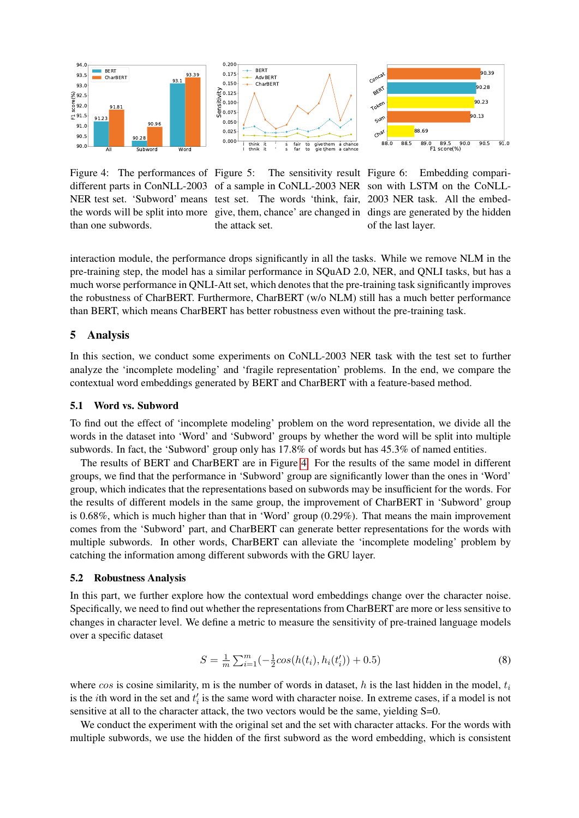

Figure 4: The performances of Figure 5: the words will be split into more than one subwords.





<span id="page-8-0"></span>different parts in ConNLL-2003 of a sample in CoNLL-2003 NER son with LSTM on the CoNLL-NER test set. 'Subword' means test set. The words 'think, fair, 2003 NER task. All the embed-The sensitivity result Figure 6: give, them, chance' are changed in dings are generated by the hidden the attack set.

<span id="page-8-2"></span><span id="page-8-1"></span>Embedding compariof the last layer.

interaction module, the performance drops significantly in all the tasks. While we remove NLM in the pre-training step, the model has a similar performance in SQuAD 2.0, NER, and QNLI tasks, but has a much worse performance in QNLI-Att set, which denotes that the pre-training task significantly improves the robustness of CharBERT. Furthermore, CharBERT (w/o NLM) still has a much better performance than BERT, which means CharBERT has better robustness even without the pre-training task.

### 5 Analysis

In this section, we conduct some experiments on CoNLL-2003 NER task with the test set to further analyze the 'incomplete modeling' and 'fragile representation' problems. In the end, we compare the contextual word embeddings generated by BERT and CharBERT with a feature-based method.

#### 5.1 Word vs. Subword

To find out the effect of 'incomplete modeling' problem on the word representation, we divide all the words in the dataset into 'Word' and 'Subword' groups by whether the word will be split into multiple subwords. In fact, the 'Subword' group only has 17.8% of words but has 45.3% of named entities.

The results of BERT and CharBERT are in Figure [4.](#page-8-0) For the results of the same model in different groups, we find that the performance in 'Subword' group are significantly lower than the ones in 'Word' group, which indicates that the representations based on subwords may be insufficient for the words. For the results of different models in the same group, the improvement of CharBERT in 'Subword' group is 0.68%, which is much higher than that in 'Word' group (0.29%). That means the main improvement comes from the 'Subword' part, and CharBERT can generate better representations for the words with multiple subwords. In other words, CharBERT can alleviate the 'incomplete modeling' problem by catching the information among different subwords with the GRU layer.

### 5.2 Robustness Analysis

In this part, we further explore how the contextual word embeddings change over the character noise. Specifically, we need to find out whether the representations from CharBERT are more or less sensitive to changes in character level. We define a metric to measure the sensitivity of pre-trained language models over a specific dataset

$$
S = \frac{1}{m} \sum_{i=1}^{m} \left( -\frac{1}{2} \cos(h(t_i), h_i(t'_i)) + 0.5 \right)
$$
 (8)

where  $\cos$  is cosine similarity, m is the number of words in dataset, h is the last hidden in the model,  $t_i$ is the *i*th word in the set and  $t_i$  is the same word with character noise. In extreme cases, if a model is not sensitive at all to the character attack, the two vectors would be the same, yielding S=0.

We conduct the experiment with the original set and the set with character attacks. For the words with multiple subwords, we use the hidden of the first subword as the word embedding, which is consistent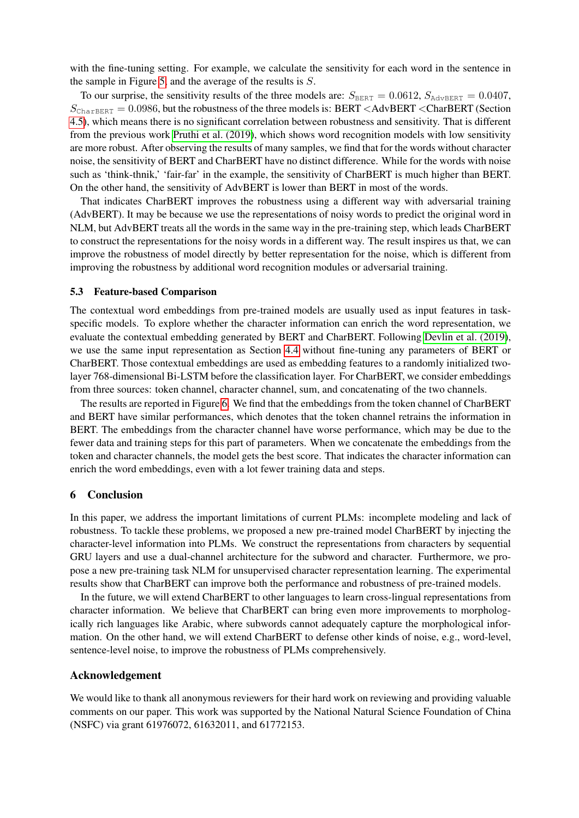with the fine-tuning setting. For example, we calculate the sensitivity for each word in the sentence in the sample in Figure [5,](#page-8-1) and the average of the results is S.

To our surprise, the sensitivity results of the three models are:  $S_{\text{BERT}} = 0.0612$ ,  $S_{\text{AdvBERT}} = 0.0407$ ,  $S_{\text{CharBERT}} = 0.0986$ , but the robustness of the three models is: BERT <AdvBERT <CharBERT (Section [4.5\)](#page-6-2), which means there is no significant correlation between robustness and sensitivity. That is different from the previous work [Pruthi et al. \(2019\)](#page-11-9), which shows word recognition models with low sensitivity are more robust. After observing the results of many samples, we find that for the words without character noise, the sensitivity of BERT and CharBERT have no distinct difference. While for the words with noise such as 'think-thnik,' 'fair-far' in the example, the sensitivity of CharBERT is much higher than BERT. On the other hand, the sensitivity of AdvBERT is lower than BERT in most of the words.

That indicates CharBERT improves the robustness using a different way with adversarial training (AdvBERT). It may be because we use the representations of noisy words to predict the original word in NLM, but AdvBERT treats all the words in the same way in the pre-training step, which leads CharBERT to construct the representations for the noisy words in a different way. The result inspires us that, we can improve the robustness of model directly by better representation for the noise, which is different from improving the robustness by additional word recognition modules or adversarial training.

## 5.3 Feature-based Comparison

The contextual word embeddings from pre-trained models are usually used as input features in taskspecific models. To explore whether the character information can enrich the word representation, we evaluate the contextual embedding generated by BERT and CharBERT. Following [Devlin et al. \(2019\)](#page-10-0), we use the same input representation as Section [4.4](#page-6-3) without fine-tuning any parameters of BERT or CharBERT. Those contextual embeddings are used as embedding features to a randomly initialized twolayer 768-dimensional Bi-LSTM before the classification layer. For CharBERT, we consider embeddings from three sources: token channel, character channel, sum, and concatenating of the two channels.

The results are reported in Figure [6.](#page-8-2) We find that the embeddings from the token channel of CharBERT and BERT have similar performances, which denotes that the token channel retrains the information in BERT. The embeddings from the character channel have worse performance, which may be due to the fewer data and training steps for this part of parameters. When we concatenate the embeddings from the token and character channels, the model gets the best score. That indicates the character information can enrich the word embeddings, even with a lot fewer training data and steps.

### 6 Conclusion

In this paper, we address the important limitations of current PLMs: incomplete modeling and lack of robustness. To tackle these problems, we proposed a new pre-trained model CharBERT by injecting the character-level information into PLMs. We construct the representations from characters by sequential GRU layers and use a dual-channel architecture for the subword and character. Furthermore, we propose a new pre-training task NLM for unsupervised character representation learning. The experimental results show that CharBERT can improve both the performance and robustness of pre-trained models.

In the future, we will extend CharBERT to other languages to learn cross-lingual representations from character information. We believe that CharBERT can bring even more improvements to morphologically rich languages like Arabic, where subwords cannot adequately capture the morphological information. On the other hand, we will extend CharBERT to defense other kinds of noise, e.g., word-level, sentence-level noise, to improve the robustness of PLMs comprehensively.

### Acknowledgement

We would like to thank all anonymous reviewers for their hard work on reviewing and providing valuable comments on our paper. This work was supported by the National Natural Science Foundation of China (NSFC) via grant 61976072, 61632011, and 61772153.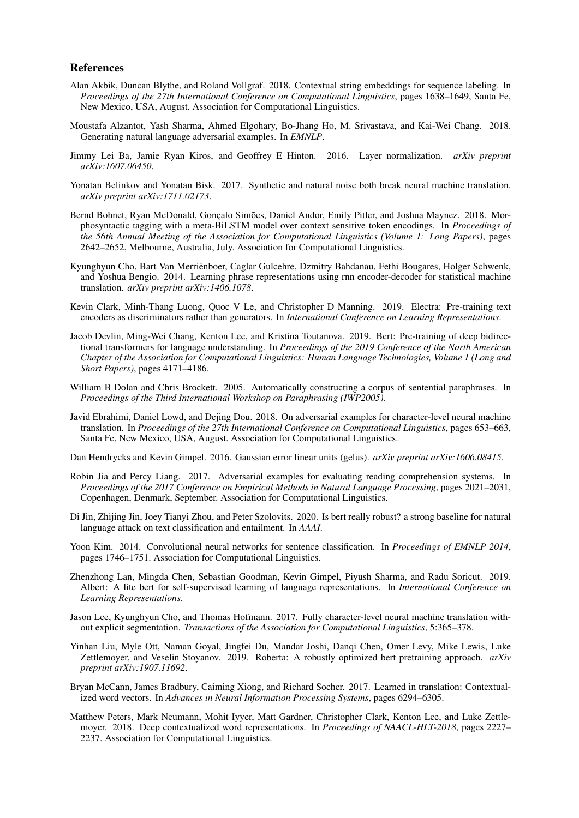#### References

- <span id="page-10-2"></span>Alan Akbik, Duncan Blythe, and Roland Vollgraf. 2018. Contextual string embeddings for sequence labeling. In *Proceedings of the 27th International Conference on Computational Linguistics*, pages 1638–1649, Santa Fe, New Mexico, USA, August. Association for Computational Linguistics.
- <span id="page-10-9"></span>Moustafa Alzantot, Yash Sharma, Ahmed Elgohary, Bo-Jhang Ho, M. Srivastava, and Kai-Wei Chang. 2018. Generating natural language adversarial examples. In *EMNLP*.
- <span id="page-10-16"></span>Jimmy Lei Ba, Jamie Ryan Kiros, and Geoffrey E Hinton. 2016. Layer normalization. *arXiv preprint arXiv:1607.06450*.
- <span id="page-10-11"></span>Yonatan Belinkov and Yonatan Bisk. 2017. Synthetic and natural noise both break neural machine translation. *arXiv preprint arXiv:1711.02173*.
- <span id="page-10-18"></span>Bernd Bohnet, Ryan McDonald, Goncalo Simões, Daniel Andor, Emily Pitler, and Joshua Maynez. 2018. Morphosyntactic tagging with a meta-BiLSTM model over context sensitive token encodings. In *Proceedings of the 56th Annual Meeting of the Association for Computational Linguistics (Volume 1: Long Papers)*, pages 2642–2652, Melbourne, Australia, July. Association for Computational Linguistics.
- <span id="page-10-14"></span>Kyunghyun Cho, Bart Van Merrienboer, Caglar Gulcehre, Dzmitry Bahdanau, Fethi Bougares, Holger Schwenk, ¨ and Yoshua Bengio. 2014. Learning phrase representations using rnn encoder-decoder for statistical machine translation. *arXiv preprint arXiv:1406.1078*.
- <span id="page-10-6"></span>Kevin Clark, Minh-Thang Luong, Quoc V Le, and Christopher D Manning. 2019. Electra: Pre-training text encoders as discriminators rather than generators. In *International Conference on Learning Representations*.
- <span id="page-10-0"></span>Jacob Devlin, Ming-Wei Chang, Kenton Lee, and Kristina Toutanova. 2019. Bert: Pre-training of deep bidirectional transformers for language understanding. In *Proceedings of the 2019 Conference of the North American Chapter of the Association for Computational Linguistics: Human Language Technologies, Volume 1 (Long and Short Papers)*, pages 4171–4186.
- <span id="page-10-17"></span>William B Dolan and Chris Brockett. 2005. Automatically constructing a corpus of sentential paraphrases. In *Proceedings of the Third International Workshop on Paraphrasing (IWP2005)*.
- <span id="page-10-12"></span>Javid Ebrahimi, Daniel Lowd, and Dejing Dou. 2018. On adversarial examples for character-level neural machine translation. In *Proceedings of the 27th International Conference on Computational Linguistics*, pages 653–663, Santa Fe, New Mexico, USA, August. Association for Computational Linguistics.

<span id="page-10-15"></span>Dan Hendrycks and Kevin Gimpel. 2016. Gaussian error linear units (gelus). *arXiv preprint arXiv:1606.08415*.

- <span id="page-10-8"></span>Robin Jia and Percy Liang. 2017. Adversarial examples for evaluating reading comprehension systems. In *Proceedings of the 2017 Conference on Empirical Methods in Natural Language Processing*, pages 2021–2031, Copenhagen, Denmark, September. Association for Computational Linguistics.
- <span id="page-10-10"></span>Di Jin, Zhijing Jin, Joey Tianyi Zhou, and Peter Szolovits. 2020. Is bert really robust? a strong baseline for natural language attack on text classification and entailment. In *AAAI*.
- <span id="page-10-13"></span>Yoon Kim. 2014. Convolutional neural networks for sentence classification. In *Proceedings of EMNLP 2014*, pages 1746–1751. Association for Computational Linguistics.
- <span id="page-10-5"></span>Zhenzhong Lan, Mingda Chen, Sebastian Goodman, Kevin Gimpel, Piyush Sharma, and Radu Soricut. 2019. Albert: A lite bert for self-supervised learning of language representations. In *International Conference on Learning Representations*.
- <span id="page-10-7"></span>Jason Lee, Kyunghyun Cho, and Thomas Hofmann. 2017. Fully character-level neural machine translation without explicit segmentation. *Transactions of the Association for Computational Linguistics*, 5:365–378.
- <span id="page-10-1"></span>Yinhan Liu, Myle Ott, Naman Goyal, Jingfei Du, Mandar Joshi, Danqi Chen, Omer Levy, Mike Lewis, Luke Zettlemoyer, and Veselin Stoyanov. 2019. Roberta: A robustly optimized bert pretraining approach. *arXiv preprint arXiv:1907.11692*.
- <span id="page-10-3"></span>Bryan McCann, James Bradbury, Caiming Xiong, and Richard Socher. 2017. Learned in translation: Contextualized word vectors. In *Advances in Neural Information Processing Systems*, pages 6294–6305.
- <span id="page-10-4"></span>Matthew Peters, Mark Neumann, Mohit Iyyer, Matt Gardner, Christopher Clark, Kenton Lee, and Luke Zettlemoyer. 2018. Deep contextualized word representations. In *Proceedings of NAACL-HLT-2018*, pages 2227– 2237. Association for Computational Linguistics.